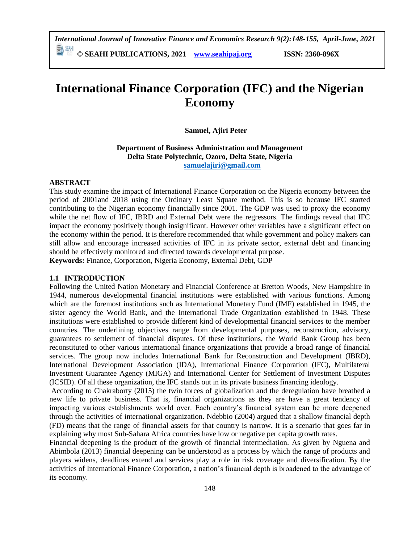*International Journal of Innovative Finance and Economics Research 9(2):148-155, April-June, 2021* 動酬

**© SEAHI PUBLICATIONS, 2021 [www.seahipaj.org](http://www.seahipaj.org/) ISSN: 2360-896X**

# **International Finance Corporation (IFC) and the Nigerian Economy**

**Samuel, Ajiri Peter** 

**Department of Business Administration and Management Delta State Polytechnic, Ozoro, Delta State, Nigeria [samuelajiri@gmail.com](mailto:samuelajiri@gmail.com)**

#### **ABSTRACT**

This study examine the impact of International Finance Corporation on the Nigeria economy between the period of 2001and 2018 using the Ordinary Least Square method. This is so because IFC started contributing to the Nigerian economy financially since 2001. The GDP was used to proxy the economy while the net flow of IFC, IBRD and External Debt were the regressors. The findings reveal that IFC impact the economy positively though insignificant. However other variables have a significant effect on the economy within the period. It is therefore recommended that while government and policy makers can still allow and encourage increased activities of IFC in its private sector, external debt and financing should be effectively monitored and directed towards developmental purpose.

**Keywords:** Finance, Corporation, Nigeria Economy, External Debt, GDP

#### **1.1 INTRODUCTION**

Following the United Nation Monetary and Financial Conference at Bretton Woods, New Hampshire in 1944, numerous developmental financial institutions were established with various functions. Among which are the foremost institutions such as International Monetary Fund (IMF) established in 1945, the sister agency the World Bank, and the International Trade Organization established in 1948. These institutions were established to provide different kind of developmental financial services to the member countries. The underlining objectives range from developmental purposes, reconstruction, advisory, guarantees to settlement of financial disputes. Of these institutions, the World Bank Group has been reconstituted to other various international finance organizations that provide a broad range of financial services. The group now includes International Bank for Reconstruction and Development (IBRD), International Development Association (IDA), International Finance Corporation (IFC), Multilateral Investment Guarantee Agency (MIGA) and International Center for Settlement of Investment Disputes (ICSID). Of all these organization, the IFC stands out in its private business financing ideology.

According to Chakraborty (2015) the twin forces of globalization and the deregulation have breathed a new life to private business. That is, financial organizations as they are have a great tendency of impacting various establishments world over. Each country's financial system can be more deepened through the activities of international organization. Ndebbio (2004) argued that a shallow financial depth (FD) means that the range of financial assets for that country is narrow. It is a scenario that goes far in explaining why most Sub-Sahara Africa countries have low or negative per capita growth rates.

Financial deepening is the product of the growth of financial intermediation. As given by Nguena and Abimbola (2013) financial deepening can be understood as a process by which the range of products and players widens, deadlines extend and services play a role in risk coverage and diversification. By the activities of International Finance Corporation, a nation's financial depth is broadened to the advantage of its economy.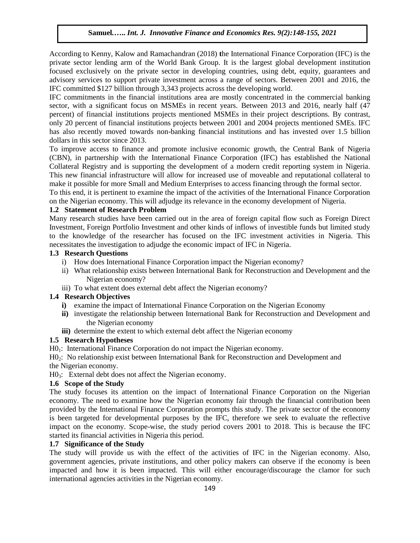According to Kenny, Kalow and Ramachandran (2018) **t**he International Finance Corporation (IFC) is the private sector lending arm of the World Bank Group. It is the largest global development institution focused exclusively on the private sector in developing countries, using debt, equity, guarantees and advisory services to support private investment across a range of sectors. Between 2001 and 2016, the IFC committed \$127 billion through 3,343 projects across the developing world.

IFC commitments in the financial institutions area are mostly concentrated in the commercial banking sector, with a significant focus on MSMEs in recent years. Between 2013 and 2016, nearly half (47 percent) of financial institutions projects mentioned MSMEs in their project descriptions. By contrast, only 20 percent of financial institutions projects between 2001 and 2004 projects mentioned SMEs. IFC has also recently moved towards non-banking financial institutions and has invested over 1.5 billion dollars in this sector since 2013.

To improve access to finance and promote inclusive economic growth, the Central Bank of Nigeria (CBN), in partnership with the International Finance Corporation (IFC) has established the National Collateral Registry and is supporting the development of a modern credit reporting system in Nigeria. This new financial infrastructure will allow for increased use of moveable and reputational collateral to make it possible for more Small and Medium Enterprises to access financing through the formal sector.

To this end, it is pertinent to examine the impact of the activities of the International Finance Corporation on the Nigerian economy. This will adjudge its relevance in the economy development of Nigeria.

## **1.2 Statement of Research Problem**

Many research studies have been carried out in the area of foreign capital flow such as Foreign Direct Investment, Foreign Portfolio Investment and other kinds of inflows of investible funds but limited study to the knowledge of the researcher has focused on the IFC investment activities in Nigeria. This necessitates the investigation to adjudge the economic impact of IFC in Nigeria.

#### **1.3 Research Questions**

- i) How does International Finance Corporation impact the Nigerian economy?
- ii) What relationship exists between International Bank for Reconstruction and Development and the Nigerian economy?
- iii) To what extent does external debt affect the Nigerian economy?

## **1.4 Research Objectives**

- **i)** examine the impact of International Finance Corporation on the Nigerian Economy
- **ii)** investigate the relationship between International Bank for Reconstruction and Development and the Nigerian economy
- **iii**) determine the extent to which external debt affect the Nigerian economy

## **1.5 Research Hypotheses**

H0<sub>1</sub>: International Finance Corporation do not impact the Nigerian economy.

H02: No relationship exist between International Bank for Reconstruction and Development and the Nigerian economy.

 $H0_3$ : External debt does not affect the Nigerian economy.

## **1.6 Scope of the Study**

The study focuses its attention on the impact of International Finance Corporation on the Nigerian economy. The need to examine how the Nigerian economy fair through the financial contribution been provided by the International Finance Corporation prompts this study. The private sector of the economy is been targeted for developmental purposes by the IFC, therefore we seek to evaluate the reflective impact on the economy. Scope-wise, the study period covers 2001 to 2018. This is because the IFC started its financial activities in Nigeria this period.

## **1.7 Significance of the Study**

The study will provide us with the effect of the activities of IFC in the Nigerian economy. Also, government agencies, private institutions, and other policy makers can observe if the economy is been impacted and how it is been impacted. This will either encourage/discourage the clamor for such international agencies activities in the Nigerian economy.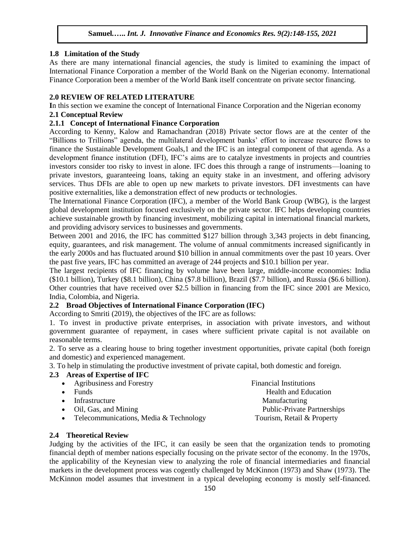#### **1.8 Limitation of the Study**

As there are many international financial agencies, the study is limited to examining the impact of International Finance Corporation a member of the World Bank on the Nigerian economy. International Finance Corporation been a member of the World Bank itself concentrate on private sector financing.

#### **2.0 REVIEW OF RELATED LITERATURE**

**I**n this section we examine the concept of International Finance Corporation and the Nigerian economy

#### **2.1 Conceptual Review**

#### **2.1.1 Concept of International Finance Corporation**

According to Kenny, Kalow and Ramachandran (2018) Private sector flows are at the center of the "Billions to Trillions" agenda, the multilateral development banks' effort to increase resource flows to finance the Sustainable Development Goals,1 and the IFC is an integral component of that agenda. As a development finance institution (DFI), IFC's aims are to catalyze investments in projects and countries investors consider too risky to invest in alone. IFC does this through a range of instruments—loaning to private investors, guaranteeing loans, taking an equity stake in an investment, and offering advisory services. Thus DFIs are able to open up new markets to private investors. DFI investments can have positive externalities, like a demonstration effect of new products or technologies.

The International Finance Corporation (IFC), a member of the World Bank Group (WBG), is the largest global development institution focused exclusively on the private sector. IFC helps developing countries achieve sustainable growth by financing investment, mobilizing capital in international financial markets, and providing advisory services to businesses and governments.

Between 2001 and 2016, the IFC has committed \$127 billion through 3,343 projects in debt financing, equity, guarantees, and risk management. The volume of annual commitments increased significantly in the early 2000s and has fluctuated around \$10 billion in annual commitments over the past 10 years. Over the past five years, IFC has committed an average of 244 projects and \$10.1 billion per year.

The largest recipients of IFC financing by volume have been large, middle-income economies: India (\$10.1 billion), Turkey (\$8.1 billion), China (\$7.8 billion), Brazil (\$7.7 billion), and Russia (\$6.6 billion). Other countries that have received over \$2.5 billion in financing from the IFC since 2001 are Mexico, India, Colombia, and Nigeria.

# **2.2 Broad Objectives of International Finance Corporation (IFC)**

According to Smriti (2019), the objectives of the IFC are as follows:

1. To invest in productive private enterprises, in association with private investors, and without government guarantee of repayment, in cases where sufficient private capital is not available on reasonable terms.

2. To serve as a clearing house to bring together investment opportunities, private capital (both foreign and domestic) and experienced management.

3. To help in stimulating the productive investment of private capital, both domestic and foreign.

#### **2.3 Areas of Expertise of IFC**

| <b>Financial Institutions</b>      |
|------------------------------------|
| <b>Health and Education</b>        |
| <b>Manufacturing</b>               |
| <b>Public-Private Partnerships</b> |
| Tourism, Retail & Property         |
|                                    |

## **2.4 Theoretical Review**

Judging by the activities of the IFC, it can easily be seen that the organization tends to promoting financial depth of member nations especially focusing on the private sector of the economy. In the 1970s, the applicability of the Keynesian view to analyzing the role of financial intermediaries and financial markets in the development process was cogently challenged by McKinnon (1973) and Shaw (1973). The McKinnon model assumes that investment in a typical developing economy is mostly self-financed.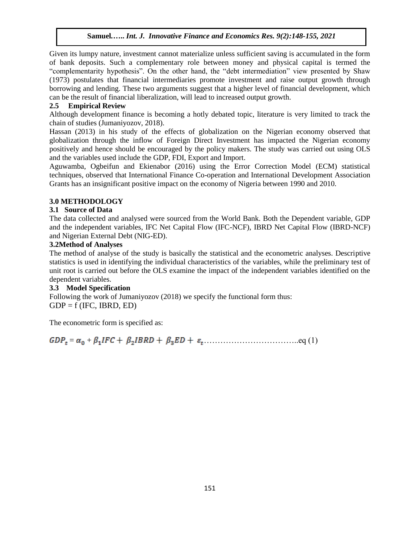Given its lumpy nature, investment cannot materialize unless sufficient saving is accumulated in the form of bank deposits. Such a complementary role between money and physical capital is termed the "complementarity hypothesis". On the other hand, the "debt intermediation" view presented by Shaw (1973) postulates that financial intermediaries promote investment and raise output growth through borrowing and lending. These two arguments suggest that a higher level of financial development, which can be the result of financial liberalization, will lead to increased output growth.

# **2.5 Empirical Review**

Although development finance is becoming a hotly debated topic, literature is very limited to track the chain of studies (Jumaniyozov, 2018).

Hassan (2013) in his study of the effects of globalization on the Nigerian economy observed that globalization through the inflow of Foreign Direct Investment has impacted the Nigerian economy positively and hence should be encouraged by the policy makers. The study was carried out using OLS and the variables used include the GDP, FDI, Export and Import.

Aguwamba, Ogbeifun and Ekienabor (2016) using the Error Correction Model (ECM) statistical techniques, observed that International Finance Co-operation and International Development Association Grants has an insignificant positive impact on the economy of Nigeria between 1990 and 2010.

## **3.0 METHODOLOGY**

## **3.1 Source of Data**

The data collected and analysed were sourced from the World Bank. Both the Dependent variable, GDP and the independent variables, IFC Net Capital Flow (IFC-NCF), IBRD Net Capital Flow (IBRD-NCF) and Nigerian External Debt (NIG-ED).

## **3.2Method of Analyses**

The method of analyse of the study is basically the statistical and the econometric analyses. Descriptive statistics is used in identifying the individual characteristics of the variables, while the preliminary test of unit root is carried out before the OLS examine the impact of the independent variables identified on the dependent variables.

## **3.3 Model Specification**

Following the work of Jumaniyozov (2018) we specify the functional form thus:  $GDP = f (IFC, IBRD, ED)$ 

The econometric form is specified as:

= + ……………………………..eq (1)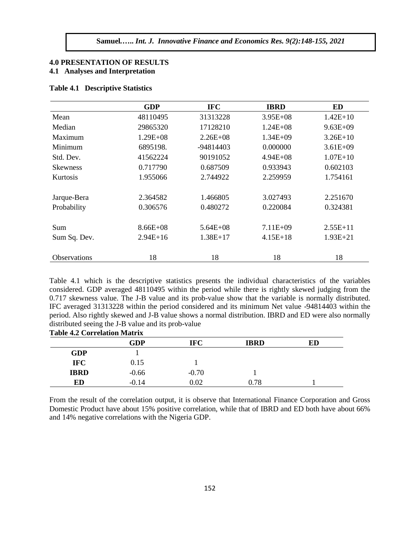### **4.0 PRESENTATION OF RESULTS 4.1 Analyses and Interpretation**

|  | <b>Table 4.1 Descriptive Statistics</b> |  |
|--|-----------------------------------------|--|
|--|-----------------------------------------|--|

|                     | <b>GDP</b>   | <b>IFC</b>   | <b>IBRD</b>  | ED           |
|---------------------|--------------|--------------|--------------|--------------|
| Mean                | 48110495     | 31313228     | $3.95E+08$   | $1.42E+10$   |
| Median              | 29865320     | 17128210     | $1.24E + 08$ | $9.63E + 09$ |
| Maximum             | $1.29E + 08$ | $2.26E + 08$ | $1.34E + 09$ | $3.26E+10$   |
| Minimum             | 6895198.     | -94814403    | 0.000000     | $3.61E + 09$ |
| Std. Dev.           | 41562224     | 90191052     | $4.94E + 08$ | $1.07E + 10$ |
| <b>Skewness</b>     | 0.717790     | 0.687509     | 0.933943     | 0.602103     |
| <b>Kurtosis</b>     | 1.955066     | 2.744922     | 2.259959     | 1.754161     |
|                     |              |              |              |              |
| Jarque-Bera         | 2.364582     | 1.466805     | 3.027493     | 2.251670     |
| Probability         | 0.306576     | 0.480272     | 0.220084     | 0.324381     |
|                     |              |              |              |              |
| Sum                 | $8.66E + 08$ | $5.64E + 08$ | $7.11E + 09$ | $2.55E+11$   |
| Sum Sq. Dev.        | $2.94E+16$   | $1.38E+17$   | $4.15E+18$   | $1.93E + 21$ |
|                     |              |              |              |              |
| <b>Observations</b> | 18           | 18           | 18           | 18           |

Table 4.1 which is the descriptive statistics presents the individual characteristics of the variables considered. GDP averaged 48110495 within the period while there is rightly skewed judging from the 0.717 skewness value. The J-B value and its prob-value show that the variable is normally distributed. IFC averaged 31313228 within the period considered and its minimum Net value -94814403 within the period. Also rightly skewed and J-B value shows a normal distribution. IBRD and ED were also normally distributed seeing the J-B value and its prob-value **Table 4.2 Correlation Matrix**

| Table 4.2 Correlation Matrix |             |          |             |    |
|------------------------------|-------------|----------|-------------|----|
|                              | ${\bf GDP}$ | IFC      | <b>IBRD</b> | ED |
| <b>GDP</b>                   |             |          |             |    |
| <b>IFC</b>                   | 0.15        |          |             |    |
| <b>IBRD</b>                  | $-0.66$     | $-0.70$  |             |    |
| ED                           | $-0.14$     | $0.02\,$ | $0.78\,$    |    |

From the result of the correlation output, it is observe that International Finance Corporation and Gross Domestic Product have about 15% positive correlation, while that of IBRD and ED both have about 66% and 14% negative correlations with the Nigeria GDP.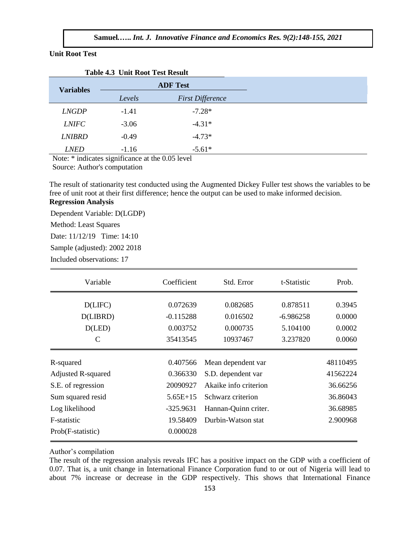#### **Unit Root Test**

|                  | Table 7.5 UIIIt Koot Test Kesuit |                         |
|------------------|----------------------------------|-------------------------|
| <b>Variables</b> |                                  | <b>ADF</b> Test         |
|                  | Levels                           | <b>First Difference</b> |
| <i>LNGDP</i>     | $-1.41$                          | $-7.28*$                |
| <b>LNIFC</b>     | $-3.06$                          | $-4.31*$                |
| <b>LNIBRD</b>    | $-0.49$                          | $-4.73*$                |
| <b>LNED</b>      | $-1.16$                          | $-5.61*$                |

**Table 4.3 Unit Root Test Result**

Note: \* indicates significance at the 0.05 level Source: Author's computation

The result of stationarity test conducted using the Augmented Dickey Fuller test shows the variables to be free of unit root at their first difference; hence the output can be used to make informed decision. **Regression Analysis**

Dependent Variable: D(LGDP)

Method: Least Squares

Date: 11/12/19 Time: 14:10

Sample (adjusted): 2002 2018

Included observations: 17

| Variable                  | Coefficient | Std. Error            | t-Statistic | Prob.    |
|---------------------------|-------------|-----------------------|-------------|----------|
| D(LIFC)                   | 0.072639    | 0.082685              | 0.878511    | 0.3945   |
| D(LIBRD)                  | $-0.115288$ | 0.016502              | $-6.986258$ | 0.0000   |
| D(LED)                    | 0.003752    | 0.000735              | 5.104100    | 0.0002   |
| C                         | 35413545    | 10937467              | 3.237820    | 0.0060   |
| R-squared                 | 0.407566    | Mean dependent var    |             | 48110495 |
| <b>Adjusted R-squared</b> | 0.366330    | S.D. dependent var    |             | 41562224 |
| S.E. of regression        | 20090927    | Akaike info criterion |             | 36.66256 |
| Sum squared resid         | $5.65E+15$  | Schwarz criterion     |             | 36.86043 |
| Log likelihood            | $-325.9631$ | Hannan-Quinn criter.  |             | 36.68985 |
| F-statistic               | 19.58409    | Durbin-Watson stat    |             | 2.900968 |
| Prob(F-statistic)         | 0.000028    |                       |             |          |

Author's compilation

The result of the regression analysis reveals IFC has a positive impact on the GDP with a coefficient of 0.07. That is, a unit change in International Finance Corporation fund to or out of Nigeria will lead to about 7% increase or decrease in the GDP respectively. This shows that International Finance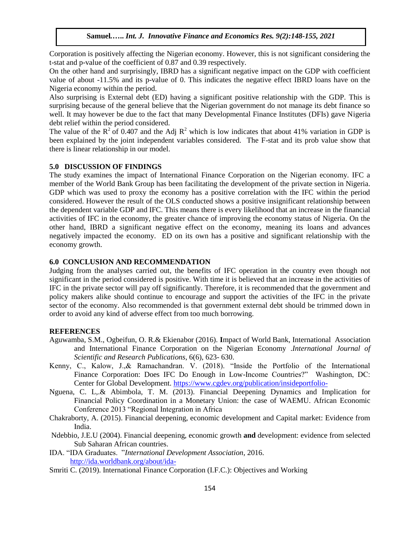Corporation is positively affecting the Nigerian economy. However, this is not significant considering the t-stat and p-value of the coefficient of 0.87 and 0.39 respectively.

On the other hand and surprisingly, IBRD has a significant negative impact on the GDP with coefficient value of about -11.5% and its p-value of 0. This indicates the negative effect IBRD loans have on the Nigeria economy within the period.

Also surprising is External debt (ED) having a significant positive relationship with the GDP. This is surprising because of the general believe that the Nigerian government do not manage its debt finance so well. It may however be due to the fact that many Developmental Finance Institutes (DFIs) gave Nigeria debt relief within the period considered.

The value of the  $R^2$  of 0.407 and the Adj  $R^2$  which is low indicates that about 41% variation in GDP is been explained by the joint independent variables considered. The F-stat and its prob value show that there is linear relationship in our model.

#### **5.0 DISCUSSION OF FINDINGS**

The study examines the impact of International Finance Corporation on the Nigerian economy. IFC a member of the World Bank Group has been facilitating the development of the private section in Nigeria. GDP which was used to proxy the economy has a positive correlation with the IFC within the period considered. However the result of the OLS conducted shows a positive insignificant relationship between the dependent variable GDP and IFC. This means there is every likelihood that an increase in the financial activities of IFC in the economy, the greater chance of improving the economy status of Nigeria. On the other hand, IBRD a significant negative effect on the economy, meaning its loans and advances negatively impacted the economy. ED on its own has a positive and significant relationship with the economy growth.

#### **6.0 CONCLUSION AND RECOMMENDATION**

Judging from the analyses carried out, the benefits of IFC operation in the country even though not significant in the period considered is positive. With time it is believed that an increase in the activities of IFC in the private sector will pay off significantly. Therefore, it is recommended that the government and policy makers alike should continue to encourage and support the activities of the IFC in the private sector of the economy. Also recommended is that government external debt should be trimmed down in order to avoid any kind of adverse effect from too much borrowing.

#### **REFERENCES**

- Aguwamba, S.M., Ogbeifun, O. R.& Ekienabor (2016). **I**mpact of World Bank, International Association and International Finance Corporation on the Nigerian Economy .*International Journal of Scientific and Research Publications*, 6(6), 623- 630.
- Kenny, C., Kalow, J.,& Ramachandran. V. (2018). "Inside the Portfolio of the International Finance Corporation: Does IFC Do Enough in Low-Income Countries?" Washington, DC: Center for Global Development.<https://www.cgdev.org/publication/insideportfolio->
- Nguena, C. L,.& Abimbola, T. M. (2013). Financial Deepening Dynamics and Implication for Financial Policy Coordination in a Monetary Union: the case of WAEMU. African Economic Conference 2013 "Regional Integration in Africa
- Chakraborty, A. (2015). Financial deepening, economic development and Capital market: Evidence from India.
- Ndebbio, J.E.U (2004). Financial deepening, economic growth **and** development: evidence from selected Sub Saharan African countries.
- IDA. "IDA Graduates. "*International Development Association*, 2016. <http://ida.worldbank.org/about/ida->
- Smriti C. (2019). International Finance Corporation (I.F.C.): Objectives and Working